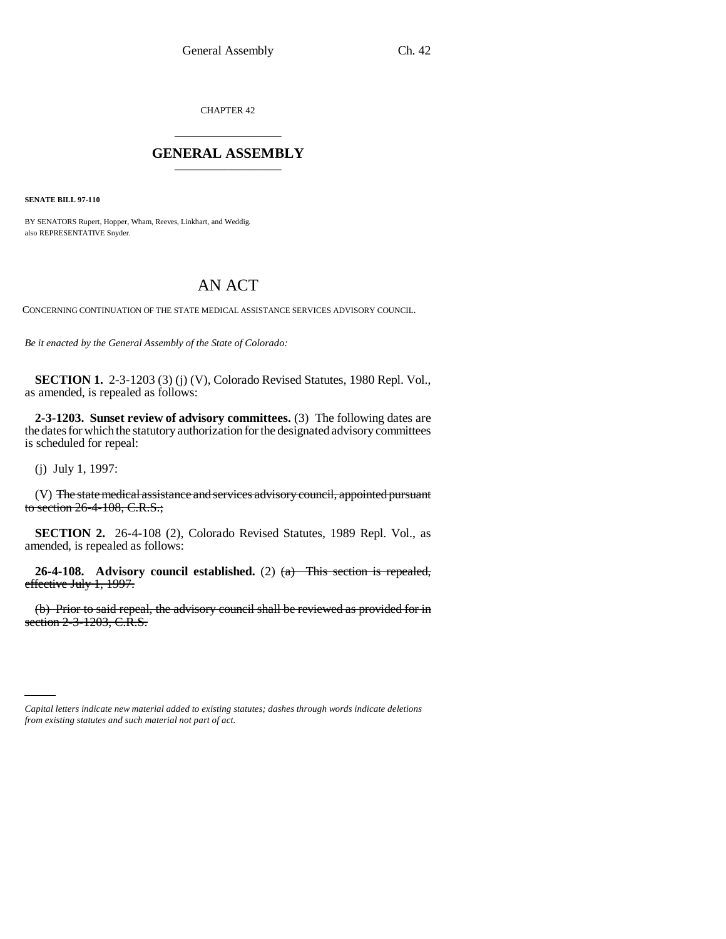CHAPTER 42 \_\_\_\_\_\_\_\_\_\_\_\_\_\_\_

## **GENERAL ASSEMBLY** \_\_\_\_\_\_\_\_\_\_\_\_\_\_\_

**SENATE BILL 97-110**

BY SENATORS Rupert, Hopper, Wham, Reeves, Linkhart, and Weddig. also REPRESENTATIVE Snyder.

## AN ACT

CONCERNING CONTINUATION OF THE STATE MEDICAL ASSISTANCE SERVICES ADVISORY COUNCIL.

*Be it enacted by the General Assembly of the State of Colorado:*

**SECTION 1.** 2-3-1203 (3) (j) (V), Colorado Revised Statutes, 1980 Repl. Vol., as amended, is repealed as follows:

**2-3-1203. Sunset review of advisory committees.** (3) The following dates are the dates for which the statutory authorization for the designated advisory committees is scheduled for repeal:

(j) July 1, 1997:

(V) The state medical assistance and services advisory council, appointed pursuant to section 26-4-108, C.R.S.;

**SECTION 2.** 26-4-108 (2), Colorado Revised Statutes, 1989 Repl. Vol., as amended, is repealed as follows:

**26-4-108. Advisory council established.** (2) (a) This section is repealed, effective July 1, 1997.

(b) Prior to said repeal, the advisory council shall be reviewed as provided for in section 2-3-1203, C.R.S.

*Capital letters indicate new material added to existing statutes; dashes through words indicate deletions from existing statutes and such material not part of act.*